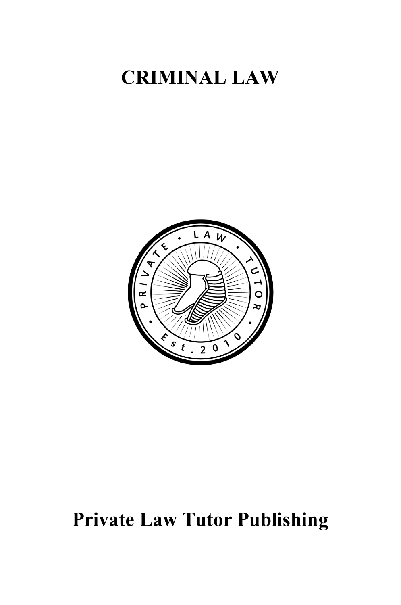# **CRIMINAL LAW**



# **Private Law Tutor Publishing**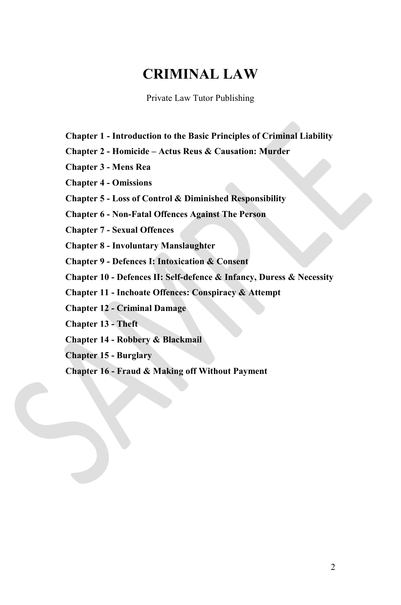# **CRIMINAL LAW**

Private Law Tutor Publishing

- **Chapter 1 - Introduction to the Basic Principles of Criminal Liability**
- **Chapter 2 - Homicide – Actus Reus & Causation: Murder**
- **Chapter 3 - Mens Rea**
- **Chapter 4 - Omissions**
- **Chapter 5 - Loss of Control & Diminished Responsibility**

**Chapter 6 - Non-Fatal Offences Against The Person**

**Chapter 7 - Sexual Offences**

**Chapter 8 - Involuntary Manslaughter**

**Chapter 9 - Defences I: Intoxication & Consent**

**Chapter 10 - Defences II: Self-defence & Infancy, Duress & Necessity**

**Chapter 11 - Inchoate Offences: Conspiracy & Attempt**

**Chapter 12 - Criminal Damage**

**Chapter 13 - Theft**

**Chapter 14 - Robbery & Blackmail**

**Chapter 15 - Burglary**

**Chapter 16 - Fraud & Making off Without Payment**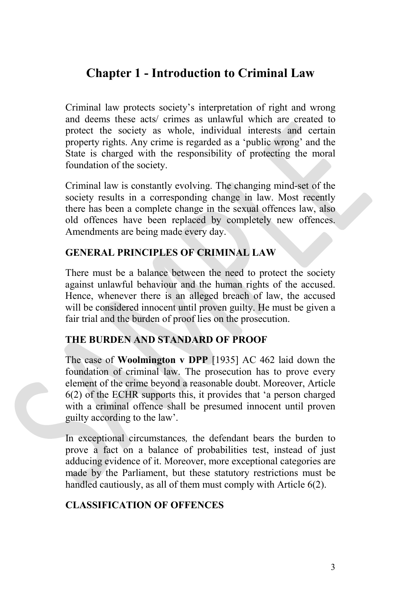# **Chapter 1 - Introduction to Criminal Law**

Criminal law protects society's interpretation of right and wrong and deems these acts/ crimes as unlawful which are created to protect the society as whole, individual interests and certain property rights. Any crime is regarded as a 'public wrong' and the State is charged with the responsibility of protecting the moral foundation of the society.

Criminal law is constantly evolving. The changing mind-set of the society results in a corresponding change in law. Most recently there has been a complete change in the sexual offences law, also old offences have been replaced by completely new offences. Amendments are being made every day.

# **GENERAL PRINCIPLES OF CRIMINAL LAW**

There must be a balance between the need to protect the society against unlawful behaviour and the human rights of the accused. Hence, whenever there is an alleged breach of law, the accused will be considered innocent until proven guilty. He must be given a fair trial and the burden of proof lies on the prosecution.

#### **THE BURDEN AND STANDARD OF PROOF**

The case of **Woolmington v DPP** [1935] AC 462 laid down the foundation of criminal law. The prosecution has to prove every element of the crime beyond a reasonable doubt. Moreover, Article 6(2) of the ECHR supports this, it provides that 'a person charged with a criminal offence shall be presumed innocent until proven guilty according to the law'.

In exceptional circumstances*,* the defendant bears the burden to prove a fact on a balance of probabilities test, instead of just adducing evidence of it. Moreover, more exceptional categories are made by the Parliament, but these statutory restrictions must be handled cautiously, as all of them must comply with Article 6(2).

# **CLASSIFICATION OF OFFENCES**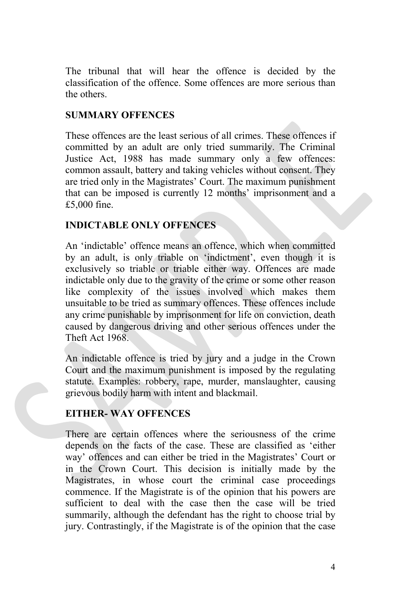The tribunal that will hear the offence is decided by the classification of the offence. Some offences are more serious than the others.

# **SUMMARY OFFENCES**

These offences are the least serious of all crimes. These offences if committed by an adult are only tried summarily. The Criminal Justice Act, 1988 has made summary only a few offences: common assault, battery and taking vehicles without consent. They are tried only in the Magistrates' Court. The maximum punishment that can be imposed is currently 12 months' imprisonment and a £5,000 fine.

# **INDICTABLE ONLY OFFENCES**

An 'indictable' offence means an offence, which when committed by an adult, is only triable on 'indictment', even though it is exclusively so triable or triable either way. Offences are made indictable only due to the gravity of the crime or some other reason like complexity of the issues involved which makes them unsuitable to be tried as summary offences. These offences include any crime punishable by imprisonment for life on conviction, death caused by dangerous driving and other serious offences under the Theft Act 1968.

An indictable offence is tried by jury and a judge in the Crown Court and the maximum punishment is imposed by the regulating statute. Examples: robbery, rape, murder, manslaughter, causing grievous bodily harm with intent and blackmail.

# **EITHER- WAY OFFENCES**

There are certain offences where the seriousness of the crime depends on the facts of the case. These are classified as 'either way' offences and can either be tried in the Magistrates' Court or in the Crown Court. This decision is initially made by the Magistrates, in whose court the criminal case proceedings commence. If the Magistrate is of the opinion that his powers are sufficient to deal with the case then the case will be tried summarily, although the defendant has the right to choose trial by jury. Contrastingly, if the Magistrate is of the opinion that the case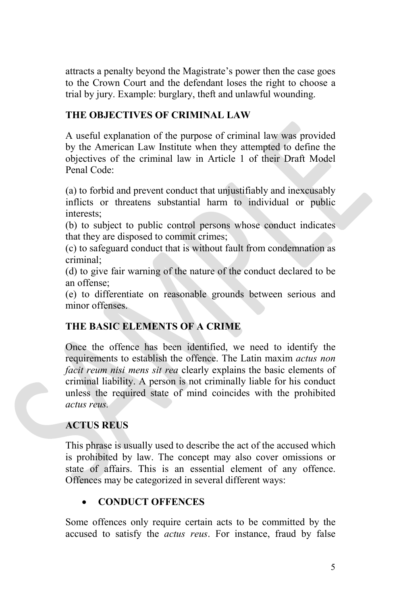attracts a penalty beyond the Magistrate's power then the case goes to the Crown Court and the defendant loses the right to choose a trial by jury. Example: burglary, theft and unlawful wounding.

# **THE OBJECTIVES OF CRIMINAL LAW**

A useful explanation of the purpose of criminal law was provided by the American Law Institute when they attempted to define the objectives of the criminal law in Article 1 of their Draft Model Penal Code:

(a) to forbid and prevent conduct that unjustifiably and inexcusably inflicts or threatens substantial harm to individual or public interests;

(b) to subject to public control persons whose conduct indicates that they are disposed to commit crimes;

(c) to safeguard conduct that is without fault from condemnation as criminal;

(d) to give fair warning of the nature of the conduct declared to be an offense;

(e) to differentiate on reasonable grounds between serious and minor offenses.

# **THE BASIC ELEMENTS OF A CRIME**

Once the offence has been identified, we need to identify the requirements to establish the offence. The Latin maxim *actus non facit reum nisi mens sit rea* clearly explains the basic elements of criminal liability. A person is not criminally liable for his conduct unless the required state of mind coincides with the prohibited *actus reus.*

# **ACTUS REUS**

This phrase is usually used to describe the act of the accused which is prohibited by law. The concept may also cover omissions or state of affairs. This is an essential element of any offence. Offences may be categorized in several different ways:

# • **CONDUCT OFFENCES**

Some offences only require certain acts to be committed by the accused to satisfy the *actus reus*. For instance, fraud by false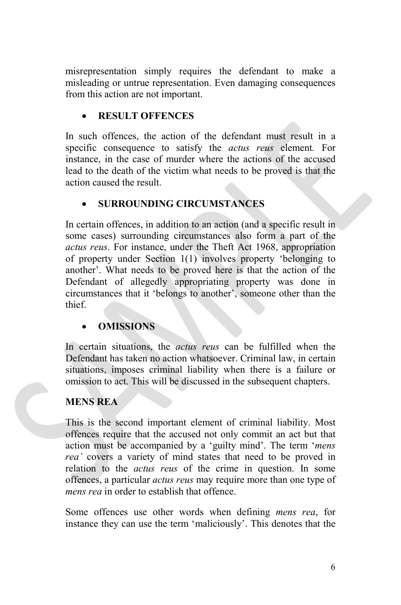misrepresentation simply requires the defendant to make a misleading or untrue representation. Even damaging consequences from this action are not important.

# • **RESULT OFFENCES**

In such offences, the action of the defendant must result in a specific consequence to satisfy the *actus reus* element*.* For instance, in the case of murder where the actions of the accused lead to the death of the victim what needs to be proved is that the action caused the result.

# • **SURROUNDING CIRCUMSTANCES**

In certain offences, in addition to an action (and a specific result in some cases) surrounding circumstances also form a part of the *actus reus*. For instance, under the Theft Act 1968, appropriation of property under Section 1(1) involves property 'belonging to another'. What needs to be proved here is that the action of the Defendant of allegedly appropriating property was done in circumstances that it 'belongs to another', someone other than the thief.

# • **OMISSIONS**

In certain situations, the *actus reus* can be fulfilled when the Defendant has taken no action whatsoever. Criminal law, in certain situations, imposes criminal liability when there is a failure or omission to act. This will be discussed in the subsequent chapters.

# **MENS REA**

This is the second important element of criminal liability. Most offences require that the accused not only commit an act but that action must be accompanied by a 'guilty mind'. The term '*mens rea'* covers a variety of mind states that need to be proved in relation to the *actus reus* of the crime in question. In some offences, a particular *actus reus* may require more than one type of *mens rea* in order to establish that offence.

Some offences use other words when defining *mens rea*, for instance they can use the term 'maliciously'. This denotes that the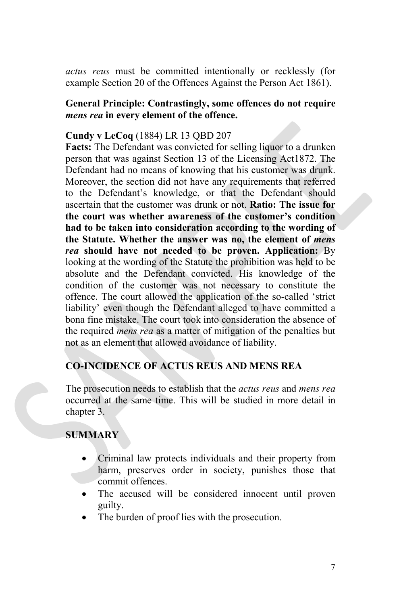*actus reus* must be committed intentionally or recklessly (for example Section 20 of the Offences Against the Person Act 1861).

# **General Principle: Contrastingly, some offences do not require** *mens rea* **in every element of the offence.**

# **Cundy v LeCoq** (1884) LR 13 QBD 207

**Facts:** The Defendant was convicted for selling liquor to a drunken person that was against Section 13 of the Licensing Act1872. The Defendant had no means of knowing that his customer was drunk. Moreover, the section did not have any requirements that referred to the Defendant's knowledge, or that the Defendant should ascertain that the customer was drunk or not. **Ratio: The issue for the court was whether awareness of the customer's condition had to be taken into consideration according to the wording of the Statute. Whether the answer was no, the element of** *mens rea* **should have not needed to be proven. Application:** By looking at the wording of the Statute the prohibition was held to be absolute and the Defendant convicted. His knowledge of the condition of the customer was not necessary to constitute the offence. The court allowed the application of the so-called 'strict liability' even though the Defendant alleged to have committed a bona fine mistake. The court took into consideration the absence of the required *mens rea* as a matter of mitigation of the penalties but not as an element that allowed avoidance of liability.

# **CO-INCIDENCE OF ACTUS REUS AND MENS REA**

The prosecution needs to establish that the *actus reus* and *mens rea* occurred at the same time. This will be studied in more detail in chapter 3.

# **SUMMARY**

- Criminal law protects individuals and their property from harm, preserves order in society, punishes those that commit offences.
- The accused will be considered innocent until proven guilty.
- The burden of proof lies with the prosecution.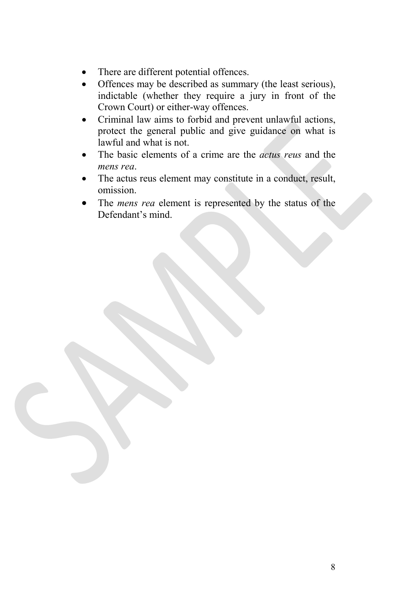- There are different potential offences.
- Offences may be described as summary (the least serious), indictable (whether they require a jury in front of the Crown Court) or either-way offences.
- Criminal law aims to forbid and prevent unlawful actions, protect the general public and give guidance on what is lawful and what is not.
- The basic elements of a crime are the *actus reus* and the *mens rea*.
- The actus reus element may constitute in a conduct, result, omission.
- The *mens rea* element is represented by the status of the Defendant's mind.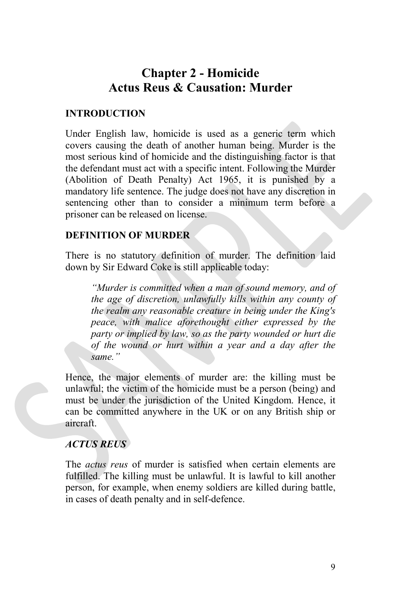# **Chapter 2 - Homicide Actus Reus & Causation: Murder**

# **INTRODUCTION**

Under English law, homicide is used as a generic term which covers causing the death of another human being. Murder is the most serious kind of homicide and the distinguishing factor is that the defendant must act with a specific intent. Following the Murder (Abolition of Death Penalty) Act 1965, it is punished by a mandatory life sentence. The judge does not have any discretion in sentencing other than to consider a minimum term before a prisoner can be released on license.

# **DEFINITION OF MURDER**

There is no statutory definition of murder. The definition laid down by Sir Edward Coke is still applicable today:

*"Murder is committed when a man of sound memory, and of the age of discretion, unlawfully kills within any county of the realm any reasonable creature in being under the King's peace, with malice aforethought either expressed by the party or implied by law, so as the party wounded or hurt die of the wound or hurt within a year and a day after the same."*

Hence, the major elements of murder are: the killing must be unlawful; the victim of the homicide must be a person (being) and must be under the jurisdiction of the United Kingdom. Hence, it can be committed anywhere in the UK or on any British ship or aircraft.

# *ACTUS REUS*

The *actus reus* of murder is satisfied when certain elements are fulfilled. The killing must be unlawful. It is lawful to kill another person, for example, when enemy soldiers are killed during battle, in cases of death penalty and in self-defence.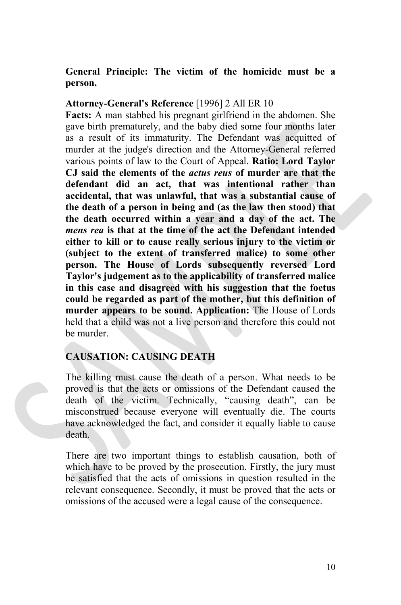# **General Principle: The victim of the homicide must be a person.**

#### **Attorney-General's Reference** [1996] 2 All ER 10

**Facts:** A man stabbed his pregnant girlfriend in the abdomen. She gave birth prematurely, and the baby died some four months later as a result of its immaturity. The Defendant was acquitted of murder at the judge's direction and the Attorney-General referred various points of law to the Court of Appeal. **Ratio: Lord Taylor CJ said the elements of the** *actus reus* **of murder are that the defendant did an act, that was intentional rather than accidental, that was unlawful, that was a substantial cause of the death of a person in being and (as the law then stood) that the death occurred within a year and a day of the act. The** *mens rea* **is that at the time of the act the Defendant intended either to kill or to cause really serious injury to the victim or (subject to the extent of transferred malice) to some other person. The House of Lords subsequently reversed Lord Taylor's judgement as to the applicability of transferred malice in this case and disagreed with his suggestion that the foetus could be regarded as part of the mother, but this definition of murder appears to be sound. Application:** The House of Lords held that a child was not a live person and therefore this could not be murder.

# **CAUSATION: CAUSING DEATH**

The killing must cause the death of a person. What needs to be proved is that the acts or omissions of the Defendant caused the death of the victim. Technically, "causing death", can be misconstrued because everyone will eventually die. The courts have acknowledged the fact, and consider it equally liable to cause death.

There are two important things to establish causation, both of which have to be proved by the prosecution. Firstly, the jury must be satisfied that the acts of omissions in question resulted in the relevant consequence. Secondly, it must be proved that the acts or omissions of the accused were a legal cause of the consequence.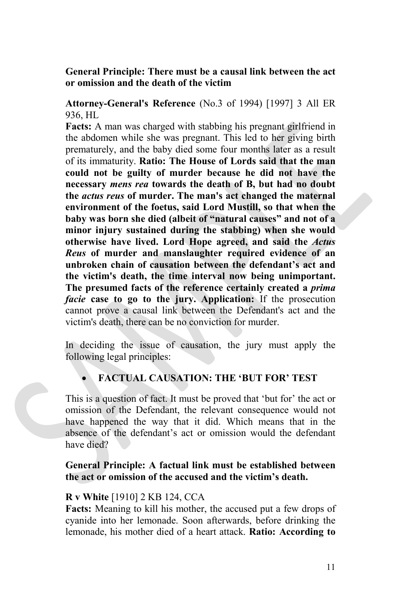# **General Principle: There must be a causal link between the act or omission and the death of the victim**

**Attorney-General's Reference** (No.3 of 1994) [1997] 3 All ER 936, HL

**Facts:** A man was charged with stabbing his pregnant girlfriend in the abdomen while she was pregnant. This led to her giving birth prematurely, and the baby died some four months later as a result of its immaturity. **Ratio: The House of Lords said that the man could not be guilty of murder because he did not have the necessary** *mens rea* **towards the death of B, but had no doubt the** *actus reus* **of murder. The man's act changed the maternal environment of the foetus, said Lord Mustill, so that when the baby was born she died (albeit of "natural causes" and not of a minor injury sustained during the stabbing) when she would otherwise have lived. Lord Hope agreed, and said the** *Actus Reus* **of murder and manslaughter required evidence of an unbroken chain of causation between the defendant's act and the victim's death, the time interval now being unimportant. The presumed facts of the reference certainly created a** *prima facie* **case to go to the jury. Application:** If the prosecution cannot prove a causal link between the Defendant's act and the victim's death, there can be no conviction for murder.

In deciding the issue of causation, the jury must apply the following legal principles:

# • **FACTUAL CAUSATION: THE 'BUT FOR' TEST**

This is a question of fact. It must be proved that 'but for' the act or omission of the Defendant, the relevant consequence would not have happened the way that it did. Which means that in the absence of the defendant's act or omission would the defendant have died?

**General Principle: A factual link must be established between the act or omission of the accused and the victim's death.**

#### **R v White** [1910] 2 KB 124, CCA

**Facts:** Meaning to kill his mother, the accused put a few drops of cyanide into her lemonade. Soon afterwards, before drinking the lemonade, his mother died of a heart attack. **Ratio: According to**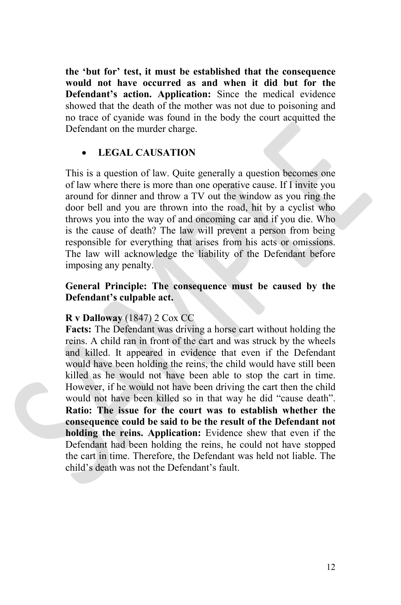**the 'but for' test, it must be established that the consequence would not have occurred as and when it did but for the Defendant's action. Application:** Since the medical evidence showed that the death of the mother was not due to poisoning and no trace of cyanide was found in the body the court acquitted the Defendant on the murder charge.

# • **LEGAL CAUSATION**

This is a question of law. Quite generally a question becomes one of law where there is more than one operative cause. If I invite you around for dinner and throw a TV out the window as you ring the door bell and you are thrown into the road, hit by a cyclist who throws you into the way of and oncoming car and if you die. Who is the cause of death? The law will prevent a person from being responsible for everything that arises from his acts or omissions. The law will acknowledge the liability of the Defendant before imposing any penalty.

# **General Principle: The consequence must be caused by the Defendant's culpable act.**

#### **R v Dalloway** (1847) 2 Cox CC

**Facts:** The Defendant was driving a horse cart without holding the reins. A child ran in front of the cart and was struck by the wheels and killed. It appeared in evidence that even if the Defendant would have been holding the reins, the child would have still been killed as he would not have been able to stop the cart in time. However, if he would not have been driving the cart then the child would not have been killed so in that way he did "cause death". **Ratio: The issue for the court was to establish whether the consequence could be said to be the result of the Defendant not holding the reins. Application:** Evidence shew that even if the Defendant had been holding the reins, he could not have stopped the cart in time. Therefore, the Defendant was held not liable. The child's death was not the Defendant's fault.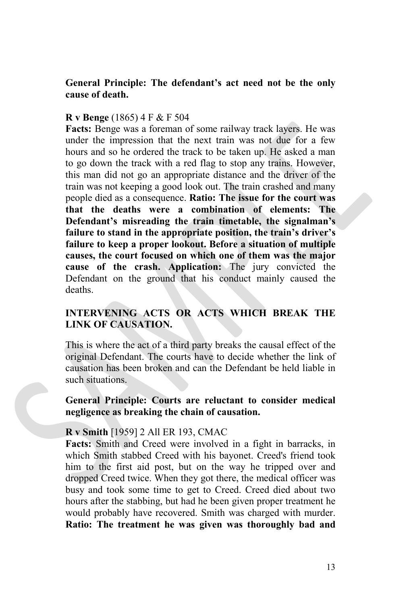## **General Principle: The defendant's act need not be the only cause of death.**

#### **R v Benge** (1865) 4 F & F 504

**Facts:** Benge was a foreman of some railway track layers. He was under the impression that the next train was not due for a few hours and so he ordered the track to be taken up. He asked a man to go down the track with a red flag to stop any trains. However, this man did not go an appropriate distance and the driver of the train was not keeping a good look out. The train crashed and many people died as a consequence. **Ratio: The issue for the court was that the deaths were a combination of elements: The Defendant's misreading the train timetable, the signalman's failure to stand in the appropriate position, the train's driver's failure to keep a proper lookout. Before a situation of multiple causes, the court focused on which one of them was the major cause of the crash. Application:** The jury convicted the Defendant on the ground that his conduct mainly caused the deaths.

# **INTERVENING ACTS OR ACTS WHICH BREAK THE LINK OF CAUSATION.**

This is where the act of a third party breaks the causal effect of the original Defendant. The courts have to decide whether the link of causation has been broken and can the Defendant be held liable in such situations.

#### **General Principle: Courts are reluctant to consider medical negligence as breaking the chain of causation.**

#### **R v Smith** [1959] 2 All ER 193, CMAC

**Facts:** Smith and Creed were involved in a fight in barracks, in which Smith stabbed Creed with his bayonet. Creed's friend took him to the first aid post, but on the way he tripped over and dropped Creed twice. When they got there, the medical officer was busy and took some time to get to Creed. Creed died about two hours after the stabbing, but had he been given proper treatment he would probably have recovered. Smith was charged with murder. **Ratio: The treatment he was given was thoroughly bad and**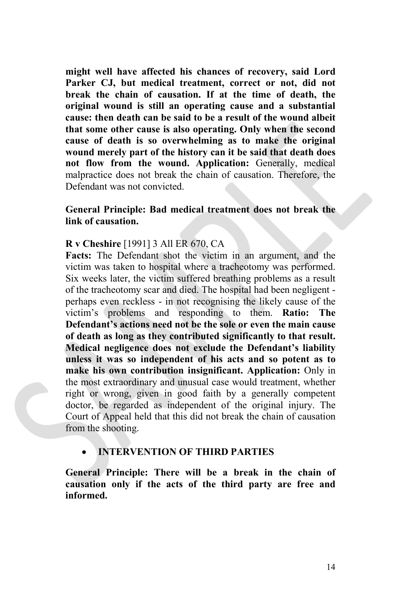**might well have affected his chances of recovery, said Lord Parker CJ, but medical treatment, correct or not, did not break the chain of causation. If at the time of death, the original wound is still an operating cause and a substantial cause: then death can be said to be a result of the wound albeit that some other cause is also operating. Only when the second cause of death is so overwhelming as to make the original wound merely part of the history can it be said that death does not flow from the wound. Application:** Generally, medical malpractice does not break the chain of causation. Therefore, the Defendant was not convicted.

# **General Principle: Bad medical treatment does not break the link of causation.**

#### **R v Cheshire** [1991] 3 All ER 670, CA

**Facts:** The Defendant shot the victim in an argument, and the victim was taken to hospital where a tracheotomy was performed. Six weeks later, the victim suffered breathing problems as a result of the tracheotomy scar and died. The hospital had been negligent perhaps even reckless - in not recognising the likely cause of the victim's problems and responding to them. **Ratio: The Defendant's actions need not be the sole or even the main cause of death as long as they contributed significantly to that result. Medical negligence does not exclude the Defendant's liability unless it was so independent of his acts and so potent as to make his own contribution insignificant. Application:** Only in the most extraordinary and unusual case would treatment, whether right or wrong, given in good faith by a generally competent doctor, be regarded as independent of the original injury. The Court of Appeal held that this did not break the chain of causation from the shooting.

# • **INTERVENTION OF THIRD PARTIES**

**General Principle: There will be a break in the chain of causation only if the acts of the third party are free and informed.**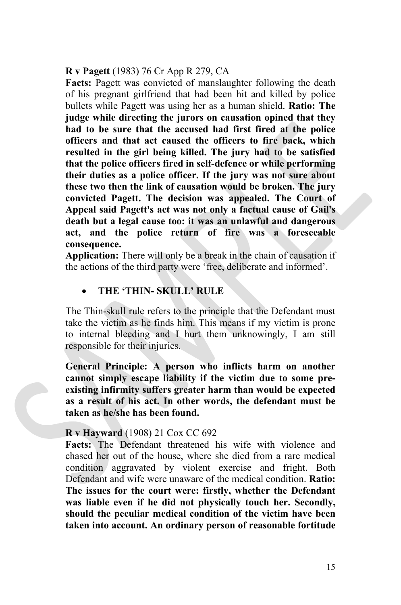#### **R v Pagett** (1983) 76 Cr App R 279, CA

**Facts:** Pagett was convicted of manslaughter following the death of his pregnant girlfriend that had been hit and killed by police bullets while Pagett was using her as a human shield. **Ratio: The judge while directing the jurors on causation opined that they had to be sure that the accused had first fired at the police officers and that act caused the officers to fire back, which resulted in the girl being killed. The jury had to be satisfied that the police officers fired in self-defence or while performing their duties as a police officer. If the jury was not sure about these two then the link of causation would be broken. The jury convicted Pagett. The decision was appealed. The Court of Appeal said Pagett's act was not only a factual cause of Gail's death but a legal cause too: it was an unlawful and dangerous act, and the police return of fire was a foreseeable consequence.**

**Application:** There will only be a break in the chain of causation if the actions of the third party were 'free, deliberate and informed'.

# • **THE 'THIN- SKULL' RULE**

The Thin-skull rule refers to the principle that the Defendant must take the victim as he finds him. This means if my victim is prone to internal bleeding and I hurt them unknowingly, I am still responsible for their injuries.

**General Principle: A person who inflicts harm on another cannot simply escape liability if the victim due to some preexisting infirmity suffers greater harm than would be expected as a result of his act. In other words, the defendant must be taken as he/she has been found.**

#### **R v Hayward** (1908) 21 Cox CC 692

**Facts:** The Defendant threatened his wife with violence and chased her out of the house, where she died from a rare medical condition aggravated by violent exercise and fright. Both Defendant and wife were unaware of the medical condition. **Ratio: The issues for the court were: firstly, whether the Defendant was liable even if he did not physically touch her. Secondly, should the peculiar medical condition of the victim have been taken into account. An ordinary person of reasonable fortitude**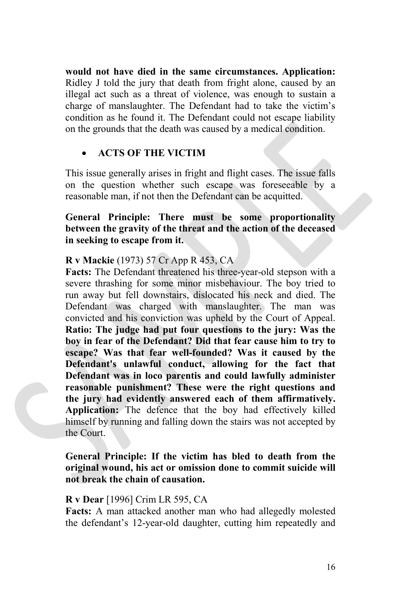**would not have died in the same circumstances. Application:** Ridley J told the jury that death from fright alone, caused by an illegal act such as a threat of violence, was enough to sustain a charge of manslaughter. The Defendant had to take the victim's condition as he found it. The Defendant could not escape liability on the grounds that the death was caused by a medical condition.

#### • **ACTS OF THE VICTIM**

This issue generally arises in fright and flight cases. The issue falls on the question whether such escape was foreseeable by a reasonable man, if not then the Defendant can be acquitted.

# **General Principle: There must be some proportionality between the gravity of the threat and the action of the deceased in seeking to escape from it.**

#### **R v Mackie** (1973) 57 Cr App R 453, CA

**Facts:** The Defendant threatened his three-year-old stepson with a severe thrashing for some minor misbehaviour. The boy tried to run away but fell downstairs, dislocated his neck and died. The Defendant was charged with manslaughter. The man was convicted and his conviction was upheld by the Court of Appeal. **Ratio: The judge had put four questions to the jury: Was the boy in fear of the Defendant? Did that fear cause him to try to escape? Was that fear well-founded? Was it caused by the Defendant's unlawful conduct, allowing for the fact that Defendant was in loco parentis and could lawfully administer reasonable punishment? These were the right questions and the jury had evidently answered each of them affirmatively. Application:** The defence that the boy had effectively killed himself by running and falling down the stairs was not accepted by the Court.

#### **General Principle: If the victim has bled to death from the original wound, his act or omission done to commit suicide will not break the chain of causation.**

#### **R v Dear** [1996] Crim LR 595, CA

**Facts:** A man attacked another man who had allegedly molested the defendant's 12-year-old daughter, cutting him repeatedly and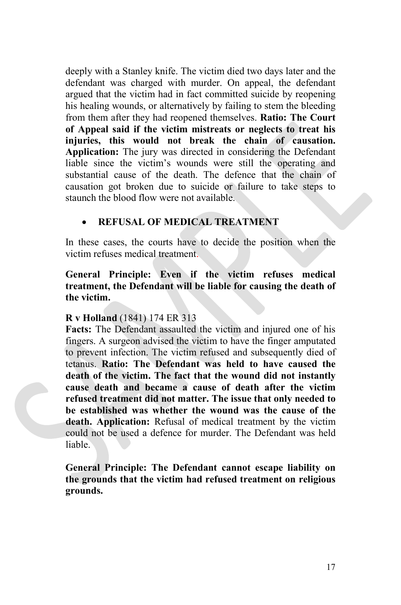deeply with a Stanley knife. The victim died two days later and the defendant was charged with murder. On appeal, the defendant argued that the victim had in fact committed suicide by reopening his healing wounds, or alternatively by failing to stem the bleeding from them after they had reopened themselves. **Ratio: The Court of Appeal said if the victim mistreats or neglects to treat his injuries, this would not break the chain of causation. Application:** The jury was directed in considering the Defendant liable since the victim's wounds were still the operating and substantial cause of the death. The defence that the chain of causation got broken due to suicide or failure to take steps to staunch the blood flow were not available.

# • **REFUSAL OF MEDICAL TREATMENT**

In these cases, the courts have to decide the position when the victim refuses medical treatment.

# **General Principle: Even if the victim refuses medical treatment, the Defendant will be liable for causing the death of the victim.**

# **R v Holland** (1841) 174 ER 313

**Facts:** The Defendant assaulted the victim and injured one of his fingers. A surgeon advised the victim to have the finger amputated to prevent infection. The victim refused and subsequently died of tetanus. **Ratio: The Defendant was held to have caused the death of the victim. The fact that the wound did not instantly cause death and became a cause of death after the victim refused treatment did not matter. The issue that only needed to be established was whether the wound was the cause of the death. Application:** Refusal of medical treatment by the victim could not be used a defence for murder. The Defendant was held liable.

**General Principle: The Defendant cannot escape liability on the grounds that the victim had refused treatment on religious grounds.**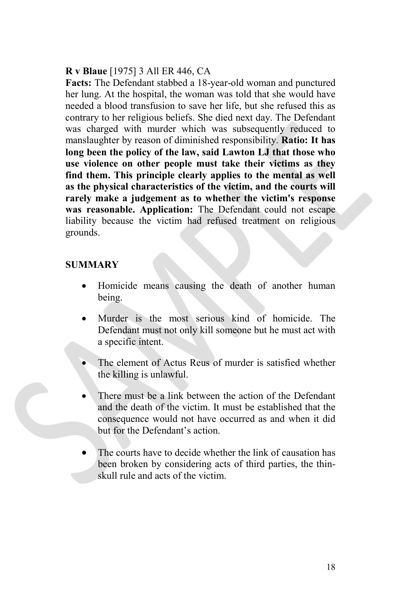# **R v Blaue** [1975] 3 All ER 446, CA

**Facts:** The Defendant stabbed a 18-year-old woman and punctured her lung. At the hospital, the woman was told that she would have needed a blood transfusion to save her life, but she refused this as contrary to her religious beliefs. She died next day. The Defendant was charged with murder which was subsequently reduced to manslaughter by reason of diminished responsibility. **Ratio: It has long been the policy of the law, said Lawton LJ that those who use violence on other people must take their victims as they find them. This principle clearly applies to the mental as well as the physical characteristics of the victim, and the courts will rarely make a judgement as to whether the victim's response was reasonable. Application:** The Defendant could not escape liability because the victim had refused treatment on religious grounds.

# **SUMMARY**

- Homicide means causing the death of another human being.
- Murder is the most serious kind of homicide. The Defendant must not only kill someone but he must act with a specific intent.
- The element of Actus Reus of murder is satisfied whether the killing is unlawful.
- There must be a link between the action of the Defendant and the death of the victim. It must be established that the consequence would not have occurred as and when it did but for the Defendant's action.
- The courts have to decide whether the link of causation has been broken by considering acts of third parties, the thinskull rule and acts of the victim.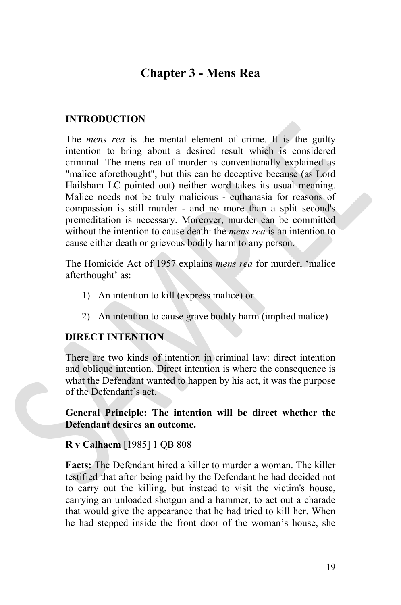# **Chapter 3 - Mens Rea**

# **INTRODUCTION**

The *mens rea* is the mental element of crime. It is the guilty intention to bring about a desired result which is considered criminal. The mens rea of murder is conventionally explained as "malice aforethought", but this can be deceptive because (as Lord Hailsham LC pointed out) neither word takes its usual meaning. Malice needs not be truly malicious - euthanasia for reasons of compassion is still murder - and no more than a split second's premeditation is necessary. Moreover, murder can be committed without the intention to cause death: the *mens rea* is an intention to cause either death or grievous bodily harm to any person.

The Homicide Act of 1957 explains *mens rea* for murder, 'malice afterthought' as:

- 1) An intention to kill (express malice) or
- 2) An intention to cause grave bodily harm (implied malice)

# **DIRECT INTENTION**

There are two kinds of intention in criminal law: direct intention and oblique intention. Direct intention is where the consequence is what the Defendant wanted to happen by his act, it was the purpose of the Defendant's act.

**General Principle: The intention will be direct whether the Defendant desires an outcome.**

# **R v Calhaem** [1985] 1 QB 808

**Facts:** The Defendant hired a killer to murder a woman. The killer testified that after being paid by the Defendant he had decided not to carry out the killing, but instead to visit the victim's house, carrying an unloaded shotgun and a hammer, to act out a charade that would give the appearance that he had tried to kill her. When he had stepped inside the front door of the woman's house, she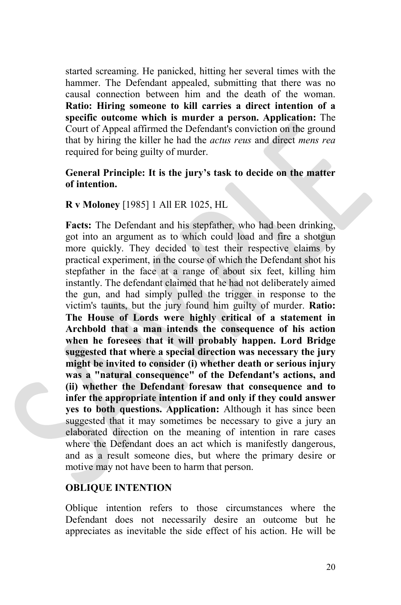started screaming. He panicked, hitting her several times with the hammer. The Defendant appealed, submitting that there was no causal connection between him and the death of the woman. **Ratio: Hiring someone to kill carries a direct intention of a specific outcome which is murder a person. Application:** The Court of Appeal affirmed the Defendant's conviction on the ground that by hiring the killer he had the *actus reus* and direct *mens rea* required for being guilty of murder.

# **General Principle: It is the jury's task to decide on the matter of intention.**

#### **R v Moloney** [1985] 1 All ER 1025, HL

**Facts:** The Defendant and his stepfather, who had been drinking, got into an argument as to which could load and fire a shotgun more quickly. They decided to test their respective claims by practical experiment, in the course of which the Defendant shot his stepfather in the face at a range of about six feet, killing him instantly. The defendant claimed that he had not deliberately aimed the gun, and had simply pulled the trigger in response to the victim's taunts, but the jury found him guilty of murder. **Ratio: The House of Lords were highly critical of a statement in Archbold that a man intends the consequence of his action when he foresees that it will probably happen. Lord Bridge suggested that where a special direction was necessary the jury might be invited to consider (i) whether death or serious injury was a "natural consequence" of the Defendant's actions, and (ii) whether the Defendant foresaw that consequence and to infer the appropriate intention if and only if they could answer yes to both questions. Application:** Although it has since been suggested that it may sometimes be necessary to give a jury an elaborated direction on the meaning of intention in rare cases where the Defendant does an act which is manifestly dangerous, and as a result someone dies, but where the primary desire or motive may not have been to harm that person.

#### **OBLIQUE INTENTION**

Oblique intention refers to those circumstances where the Defendant does not necessarily desire an outcome but he appreciates as inevitable the side effect of his action. He will be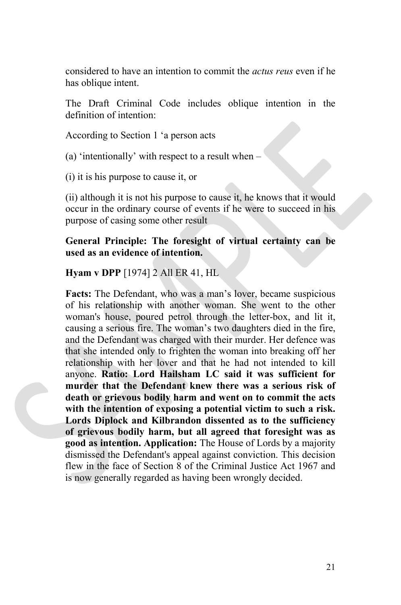considered to have an intention to commit the *actus reus* even if he has oblique intent.

The Draft Criminal Code includes oblique intention in the definition of intention:

According to Section 1 'a person acts

(a) 'intentionally' with respect to a result when –

(i) it is his purpose to cause it, or

(ii) although it is not his purpose to cause it, he knows that it would occur in the ordinary course of events if he were to succeed in his purpose of casing some other result

**General Principle: The foresight of virtual certainty can be used as an evidence of intention.**

**Hyam v DPP** [1974] 2 All ER 41, HL

**Facts:** The Defendant, who was a man's lover, became suspicious of his relationship with another woman. She went to the other woman's house, poured petrol through the letter-box, and lit it, causing a serious fire. The woman's two daughters died in the fire, and the Defendant was charged with their murder. Her defence was that she intended only to frighten the woman into breaking off her relationship with her lover and that he had not intended to kill anyone. **Ratio: Lord Hailsham LC said it was sufficient for murder that the Defendant knew there was a serious risk of death or grievous bodily harm and went on to commit the acts with the intention of exposing a potential victim to such a risk. Lords Diplock and Kilbrandon dissented as to the sufficiency of grievous bodily harm, but all agreed that foresight was as good as intention. Application:** The House of Lords by a majority dismissed the Defendant's appeal against conviction. This decision flew in the face of Section 8 of the Criminal Justice Act 1967 and is now generally regarded as having been wrongly decided.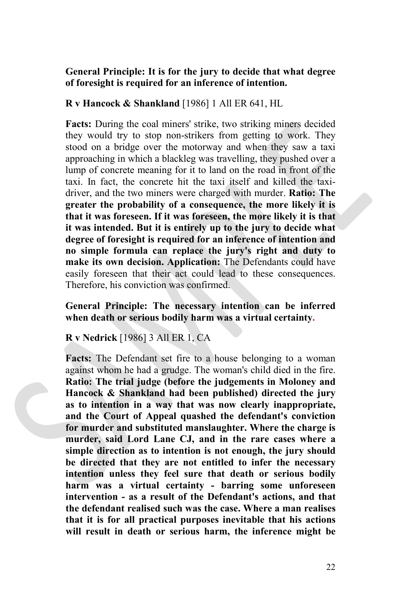# **General Principle: It is for the jury to decide that what degree of foresight is required for an inference of intention.**

# **R v Hancock & Shankland** [1986] 1 All ER 641, HL

**Facts:** During the coal miners' strike, two striking miners decided they would try to stop non-strikers from getting to work. They stood on a bridge over the motorway and when they saw a taxi approaching in which a blackleg was travelling, they pushed over a lump of concrete meaning for it to land on the road in front of the taxi. In fact, the concrete hit the taxi itself and killed the taxidriver, and the two miners were charged with murder. **Ratio: The greater the probability of a consequence, the more likely it is that it was foreseen. If it was foreseen, the more likely it is that it was intended. But it is entirely up to the jury to decide what degree of foresight is required for an inference of intention and no simple formula can replace the jury's right and duty to make its own decision. Application:** The Defendants could have easily foreseen that their act could lead to these consequences. Therefore, his conviction was confirmed.

**General Principle: The necessary intention can be inferred when death or serious bodily harm was a virtual certainty.**

#### **R v Nedrick** [1986] 3 All ER 1, CA

**Facts:** The Defendant set fire to a house belonging to a woman against whom he had a grudge. The woman's child died in the fire. **Ratio: The trial judge (before the judgements in Moloney and Hancock & Shankland had been published) directed the jury as to intention in a way that was now clearly inappropriate, and the Court of Appeal quashed the defendant's conviction for murder and substituted manslaughter. Where the charge is murder, said Lord Lane CJ, and in the rare cases where a simple direction as to intention is not enough, the jury should be directed that they are not entitled to infer the necessary intention unless they feel sure that death or serious bodily harm was a virtual certainty - barring some unforeseen intervention - as a result of the Defendant's actions, and that the defendant realised such was the case. Where a man realises that it is for all practical purposes inevitable that his actions will result in death or serious harm, the inference might be**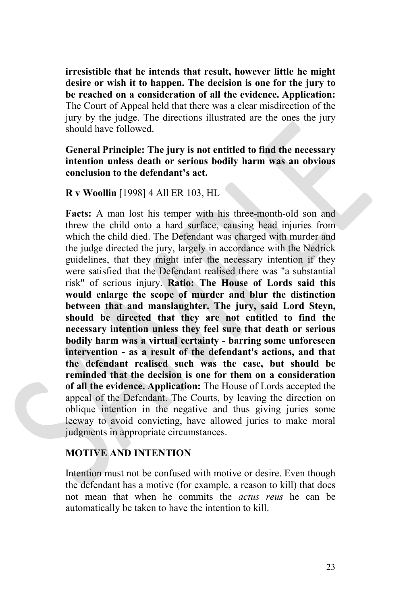**irresistible that he intends that result, however little he might desire or wish it to happen. The decision is one for the jury to be reached on a consideration of all the evidence. Application:** The Court of Appeal held that there was a clear misdirection of the jury by the judge. The directions illustrated are the ones the jury should have followed.

# **General Principle: The jury is not entitled to find the necessary intention unless death or serious bodily harm was an obvious conclusion to the defendant's act.**

#### **R v Woollin** [1998] 4 All ER 103, HL

**Facts:** A man lost his temper with his three-month-old son and threw the child onto a hard surface, causing head injuries from which the child died. The Defendant was charged with murder and the judge directed the jury, largely in accordance with the Nedrick guidelines, that they might infer the necessary intention if they were satisfied that the Defendant realised there was "a substantial risk" of serious injury. **Ratio: The House of Lords said this would enlarge the scope of murder and blur the distinction between that and manslaughter. The jury, said Lord Steyn, should be directed that they are not entitled to find the necessary intention unless they feel sure that death or serious bodily harm was a virtual certainty - barring some unforeseen intervention - as a result of the defendant's actions, and that the defendant realised such was the case, but should be reminded that the decision is one for them on a consideration of all the evidence. Application:** The House of Lords accepted the appeal of the Defendant. The Courts, by leaving the direction on oblique intention in the negative and thus giving juries some leeway to avoid convicting, have allowed juries to make moral judgments in appropriate circumstances.

# **MOTIVE AND INTENTION**

Intention must not be confused with motive or desire. Even though the defendant has a motive (for example, a reason to kill) that does not mean that when he commits the *actus reus* he can be automatically be taken to have the intention to kill.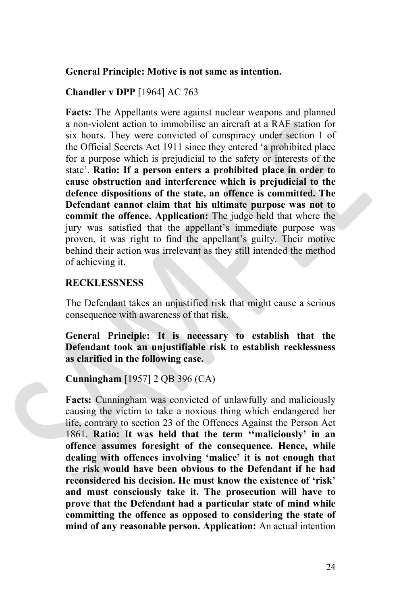#### **General Principle: Motive is not same as intention.**

#### **Chandler v DPP** [1964] AC 763

**Facts:** The Appellants were against nuclear weapons and planned a non-violent action to immobilise an aircraft at a RAF station for six hours. They were convicted of conspiracy under section 1 of the Official Secrets Act 1911 since they entered 'a prohibited place for a purpose which is prejudicial to the safety or interests of the state'. **Ratio: If a person enters a prohibited place in order to cause obstruction and interference which is prejudicial to the defence dispositions of the state, an offence is committed. The Defendant cannot claim that his ultimate purpose was not to commit the offence. Application:** The judge held that where the jury was satisfied that the appellant's immediate purpose was proven, it was right to find the appellant's guilty. Their motive behind their action was irrelevant as they still intended the method of achieving it.

#### **RECKLESSNESS**

The Defendant takes an unjustified risk that might cause a serious consequence with awareness of that risk.

**General Principle: It is necessary to establish that the Defendant took an unjustifiable risk to establish recklessness as clarified in the following case.**

**Cunningham** [1957] 2 QB 396 (CA)

**Facts:** Cunningham was convicted of unlawfully and maliciously causing the victim to take a noxious thing which endangered her life, contrary to section 23 of the Offences Against the Person Act 1861. **Ratio: It was held that the term ''maliciously' in an offence assumes foresight of the consequence. Hence, while dealing with offences involving 'malice' it is not enough that the risk would have been obvious to the Defendant if he had reconsidered his decision. He must know the existence of 'risk' and must consciously take it. The prosecution will have to prove that the Defendant had a particular state of mind while committing the offence as opposed to considering the state of mind of any reasonable person. Application:** An actual intention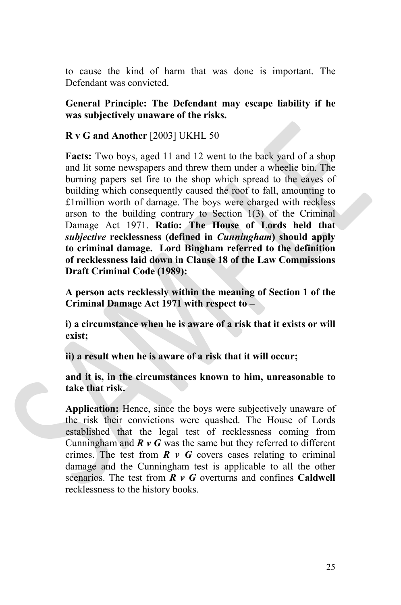to cause the kind of harm that was done is important. The Defendant was convicted.

**General Principle: The Defendant may escape liability if he was subjectively unaware of the risks.**

# **R v G and Another** [2003] UKHL 50

**Facts:** Two boys, aged 11 and 12 went to the back yard of a shop and lit some newspapers and threw them under a wheelie bin. The burning papers set fire to the shop which spread to the eaves of building which consequently caused the roof to fall, amounting to £1million worth of damage. The boys were charged with reckless arson to the building contrary to Section 1(3) of the Criminal Damage Act 1971. **Ratio: The House of Lords held that** *subjective* **recklessness (defined in** *Cunningham***) should apply to criminal damage. Lord Bingham referred to the definition of recklessness laid down in Clause 18 of the Law Commissions Draft Criminal Code (1989):**

**A person acts recklessly within the meaning of Section 1 of the Criminal Damage Act 1971 with respect to –**

**i) a circumstance when he is aware of a risk that it exists or will exist;**

**ii) a result when he is aware of a risk that it will occur;**

**and it is, in the circumstances known to him, unreasonable to take that risk.**

**Application:** Hence, since the boys were subjectively unaware of the risk their convictions were quashed. The House of Lords established that the legal test of recklessness coming from Cunningham and  $\mathbb{R} \times \mathbb{C}$  was the same but they referred to different crimes. The test from  $\vec{R}$   $\vec{v}$   $\vec{G}$  covers cases relating to criminal damage and the Cunningham test is applicable to all the other scenarios. The test from *R v G* overturns and confines **Caldwell** recklessness to the history books.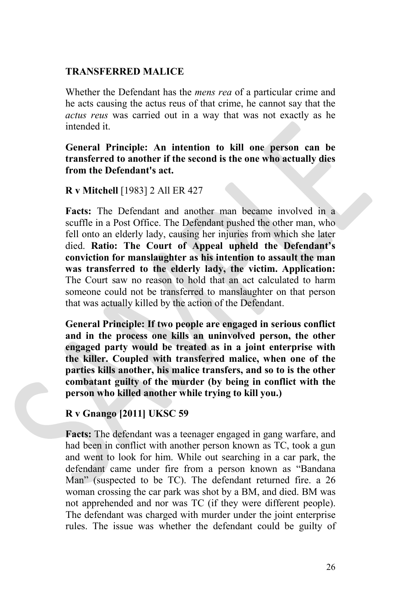## **TRANSFERRED MALICE**

Whether the Defendant has the *mens rea* of a particular crime and he acts causing the actus reus of that crime, he cannot say that the *actus reus* was carried out in a way that was not exactly as he intended it.

# **General Principle: An intention to kill one person can be transferred to another if the second is the one who actually dies from the Defendant's act.**

# **R v Mitchell** [1983] 2 All ER 427

**Facts:** The Defendant and another man became involved in a scuffle in a Post Office. The Defendant pushed the other man, who fell onto an elderly lady, causing her injuries from which she later died. **Ratio: The Court of Appeal upheld the Defendant's conviction for manslaughter as his intention to assault the man was transferred to the elderly lady, the victim. Application:** The Court saw no reason to hold that an act calculated to harm someone could not be transferred to manslaughter on that person that was actually killed by the action of the Defendant.

**General Principle: If two people are engaged in serious conflict and in the process one kills an uninvolved person, the other engaged party would be treated as in a joint enterprise with the killer. Coupled with transferred malice, when one of the parties kills another, his malice transfers, and so to is the other combatant guilty of the murder (by being in conflict with the person who killed another while trying to kill you.)**

# **R v Gnango [2011] UKSC 59**

**Facts:** The defendant was a teenager engaged in gang warfare, and had been in conflict with another person known as TC, took a gun and went to look for him. While out searching in a car park, the defendant came under fire from a person known as "Bandana Man" (suspected to be TC). The defendant returned fire. a 26 woman crossing the car park was shot by a BM, and died. BM was not apprehended and nor was TC (if they were different people). The defendant was charged with murder under the joint enterprise rules. The issue was whether the defendant could be guilty of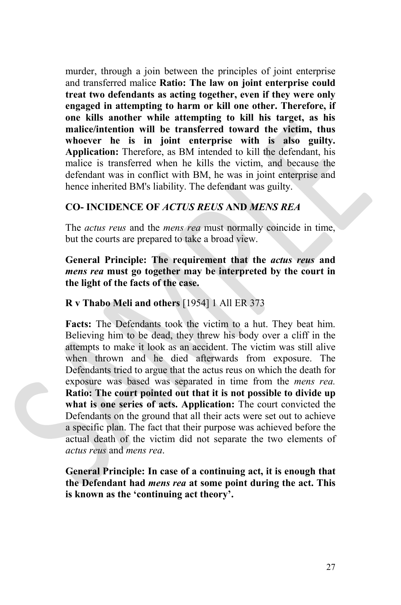murder, through a join between the principles of joint enterprise and transferred malice **Ratio: The law on joint enterprise could treat two defendants as acting together, even if they were only engaged in attempting to harm or kill one other. Therefore, if one kills another while attempting to kill his target, as his malice/intention will be transferred toward the victim, thus whoever he is in joint enterprise with is also guilty. Application:** Therefore, as BM intended to kill the defendant, his malice is transferred when he kills the victim, and because the defendant was in conflict with BM, he was in joint enterprise and hence inherited BM's liability. The defendant was guilty.

# **CO- INCIDENCE OF** *ACTUS REUS* **AND** *MENS REA*

The *actus reus* and the *mens rea* must normally coincide in time, but the courts are prepared to take a broad view.

# **General Principle: The requirement that the** *actus reus* **and** *mens rea* **must go together may be interpreted by the court in the light of the facts of the case.**

# **R v Thabo Meli and others** [1954] 1 All ER 373

**Facts:** The Defendants took the victim to a hut. They beat him. Believing him to be dead, they threw his body over a cliff in the attempts to make it look as an accident. The victim was still alive when thrown and he died afterwards from exposure. The Defendants tried to argue that the actus reus on which the death for exposure was based was separated in time from the *mens rea.* **Ratio: The court pointed out that it is not possible to divide up what is one series of acts. Application:** The court convicted the Defendants on the ground that all their acts were set out to achieve a specific plan. The fact that their purpose was achieved before the actual death of the victim did not separate the two elements of *actus reus* and *mens rea*.

**General Principle: In case of a continuing act, it is enough that the Defendant had** *mens rea* **at some point during the act. This is known as the 'continuing act theory'.**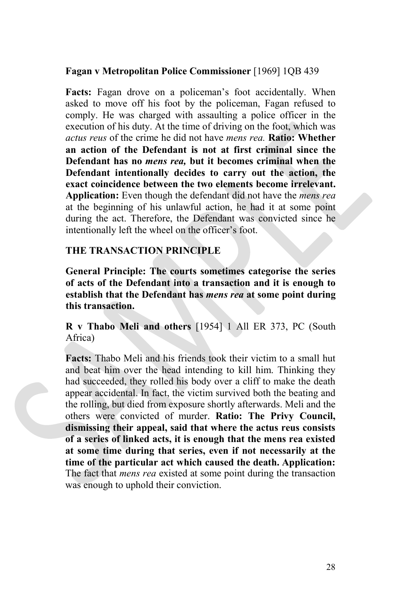#### **Fagan v Metropolitan Police Commissioner** [1969] 1QB 439

**Facts:** Fagan drove on a policeman's foot accidentally. When asked to move off his foot by the policeman, Fagan refused to comply. He was charged with assaulting a police officer in the execution of his duty. At the time of driving on the foot, which was *actus reus* of the crime he did not have *mens rea.* **Ratio: Whether an action of the Defendant is not at first criminal since the Defendant has no** *mens rea,* **but it becomes criminal when the Defendant intentionally decides to carry out the action, the exact coincidence between the two elements become irrelevant. Application:** Even though the defendant did not have the *mens rea* at the beginning of his unlawful action, he had it at some point during the act. Therefore, the Defendant was convicted since he intentionally left the wheel on the officer's foot.

#### **THE TRANSACTION PRINCIPLE**

**General Principle: The courts sometimes categorise the series of acts of the Defendant into a transaction and it is enough to establish that the Defendant has** *mens rea* **at some point during this transaction.** 

**R v Thabo Meli and others** [1954] 1 All ER 373, PC (South Africa)

**Facts:** Thabo Meli and his friends took their victim to a small hut and beat him over the head intending to kill him. Thinking they had succeeded, they rolled his body over a cliff to make the death appear accidental. In fact, the victim survived both the beating and the rolling, but died from exposure shortly afterwards. Meli and the others were convicted of murder. **Ratio: The Privy Council, dismissing their appeal, said that where the actus reus consists of a series of linked acts, it is enough that the mens rea existed at some time during that series, even if not necessarily at the time of the particular act which caused the death. Application:** The fact that *mens rea* existed at some point during the transaction was enough to uphold their conviction.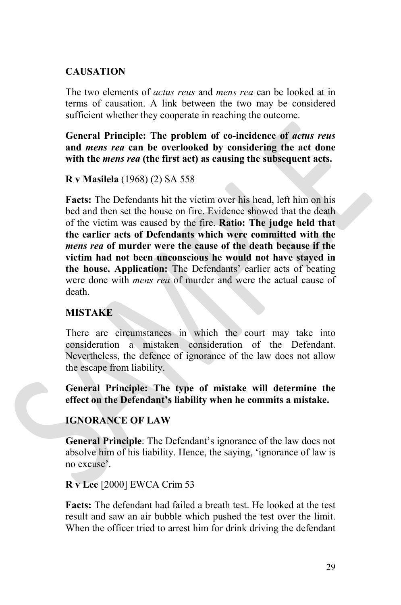# **CAUSATION**

The two elements of *actus reus* and *mens rea* can be looked at in terms of causation. A link between the two may be considered sufficient whether they cooperate in reaching the outcome.

**General Principle: The problem of co-incidence of** *actus reus* **and** *mens rea* **can be overlooked by considering the act done with the** *mens rea* **(the first act) as causing the subsequent acts.**

#### **R v Masilela** (1968) (2) SA 558

**Facts:** The Defendants hit the victim over his head, left him on his bed and then set the house on fire. Evidence showed that the death of the victim was caused by the fire. **Ratio: The judge held that the earlier acts of Defendants which were committed with the** *mens rea* **of murder were the cause of the death because if the victim had not been unconscious he would not have stayed in the house. Application:** The Defendants' earlier acts of beating were done with *mens rea* of murder and were the actual cause of death.

# **MISTAKE**

There are circumstances in which the court may take into consideration a mistaken consideration of the Defendant. Nevertheless, the defence of ignorance of the law does not allow the escape from liability.

# **General Principle: The type of mistake will determine the effect on the Defendant's liability when he commits a mistake.**

# **IGNORANCE OF LAW**

**General Principle**: The Defendant's ignorance of the law does not absolve him of his liability. Hence, the saying, 'ignorance of law is no excuse'.

# **R v Lee** [2000] EWCA Crim 53

**Facts:** The defendant had failed a breath test. He looked at the test result and saw an air bubble which pushed the test over the limit. When the officer tried to arrest him for drink driving the defendant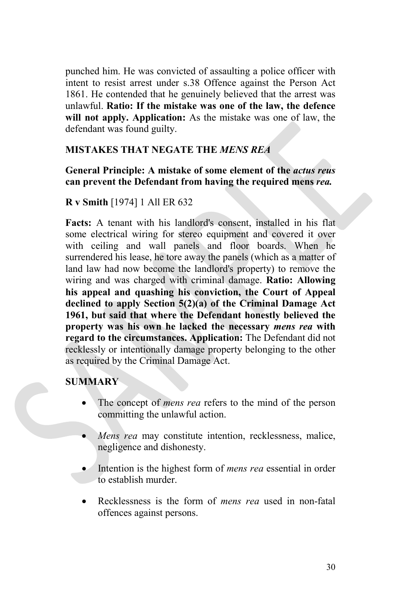punched him. He was convicted of assaulting a police officer with intent to resist arrest under s.38 Offence against the Person Act 1861. He contended that he genuinely believed that the arrest was unlawful. **Ratio: If the mistake was one of the law, the defence will not apply. Application:** As the mistake was one of law, the defendant was found guilty.

# **MISTAKES THAT NEGATE THE** *MENS REA*

**General Principle: A mistake of some element of the** *actus reus* **can prevent the Defendant from having the required mens** *rea.*

# **R v Smith** [1974] 1 All ER 632

**Facts:** A tenant with his landlord's consent, installed in his flat some electrical wiring for stereo equipment and covered it over with ceiling and wall panels and floor boards. When he surrendered his lease, he tore away the panels (which as a matter of land law had now become the landlord's property) to remove the wiring and was charged with criminal damage. **Ratio: Allowing his appeal and quashing his conviction, the Court of Appeal declined to apply Section 5(2)(a) of the Criminal Damage Act 1961, but said that where the Defendant honestly believed the property was his own he lacked the necessary** *mens rea* **with regard to the circumstances. Application:** The Defendant did not recklessly or intentionally damage property belonging to the other as required by the Criminal Damage Act.

# **SUMMARY**

- The concept of *mens rea* refers to the mind of the person committing the unlawful action.
- *Mens rea* may constitute intention, recklessness, malice, negligence and dishonesty.
- Intention is the highest form of *mens rea* essential in order to establish murder.
- Recklessness is the form of *mens rea* used in non-fatal offences against persons.